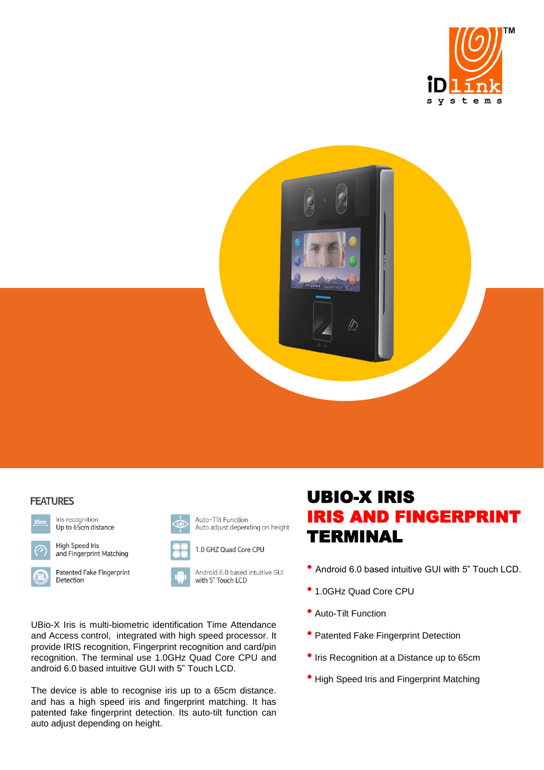



## **FEATURES**



Iris recognition Up to 65cm distance



**High Speed Iris** 



and Fingerprint Matching





Patented Fake Fingerprint



Auto-Tlit Function

Android 6.0 based intuitive GUI with 5" Touch LCD

Auto adjust depending on height

UBio-X Iris is multi-biometric identification Time Attendance and Access control, integrated with high speed processor. It provide IRIS recognition, Fingerprint recognition and card/pin recognition. The terminal use 1.0GHz Quad Core CPU and android 6.0 based intuitive GUI with 5" Touch LCD.

The device is able to recognise iris up to a 65cm distance. and has a high speed iris and fingerprint matching. It has patented fake fingerprint detection. Its auto-tilt function can auto adjust depending on height.

## UBIO-X IRIS IRIS AND FINGERPRINT TERMINAL

- Android 6.0 based intuitive GUI with 5" Touch LCD.
- 1.0GHz Quad Core CPU
- Auto-Tilt Function
- Patented Fake Fingerprint Detection
- Iris Recognition at a Distance up to 65cm
- High Speed Iris and Fingerprint Matching